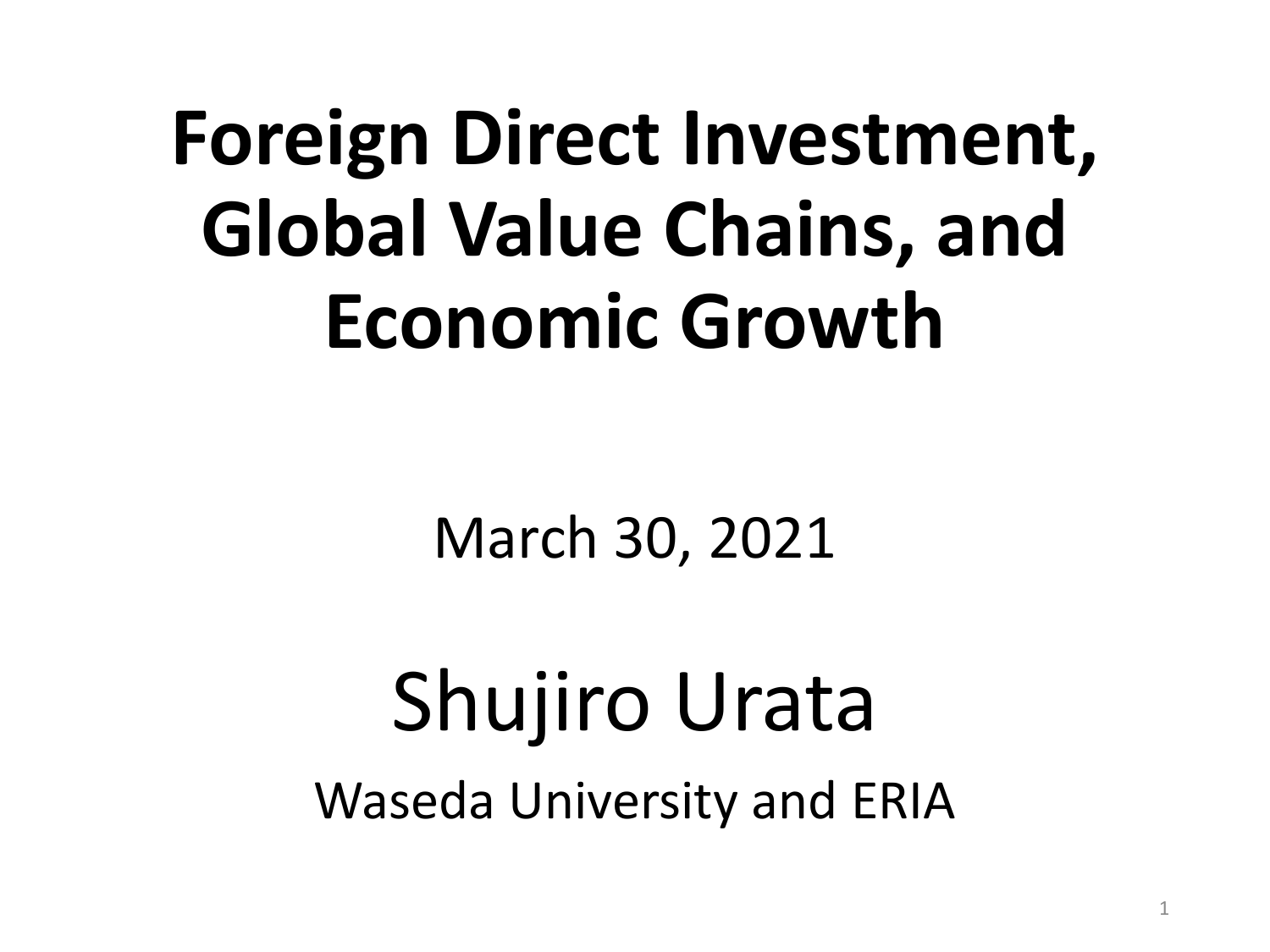# **Foreign Direct Investment, Global Value Chains, and Economic Growth**

## March 30, 2021

# Shujiro Urata Waseda University and ERIA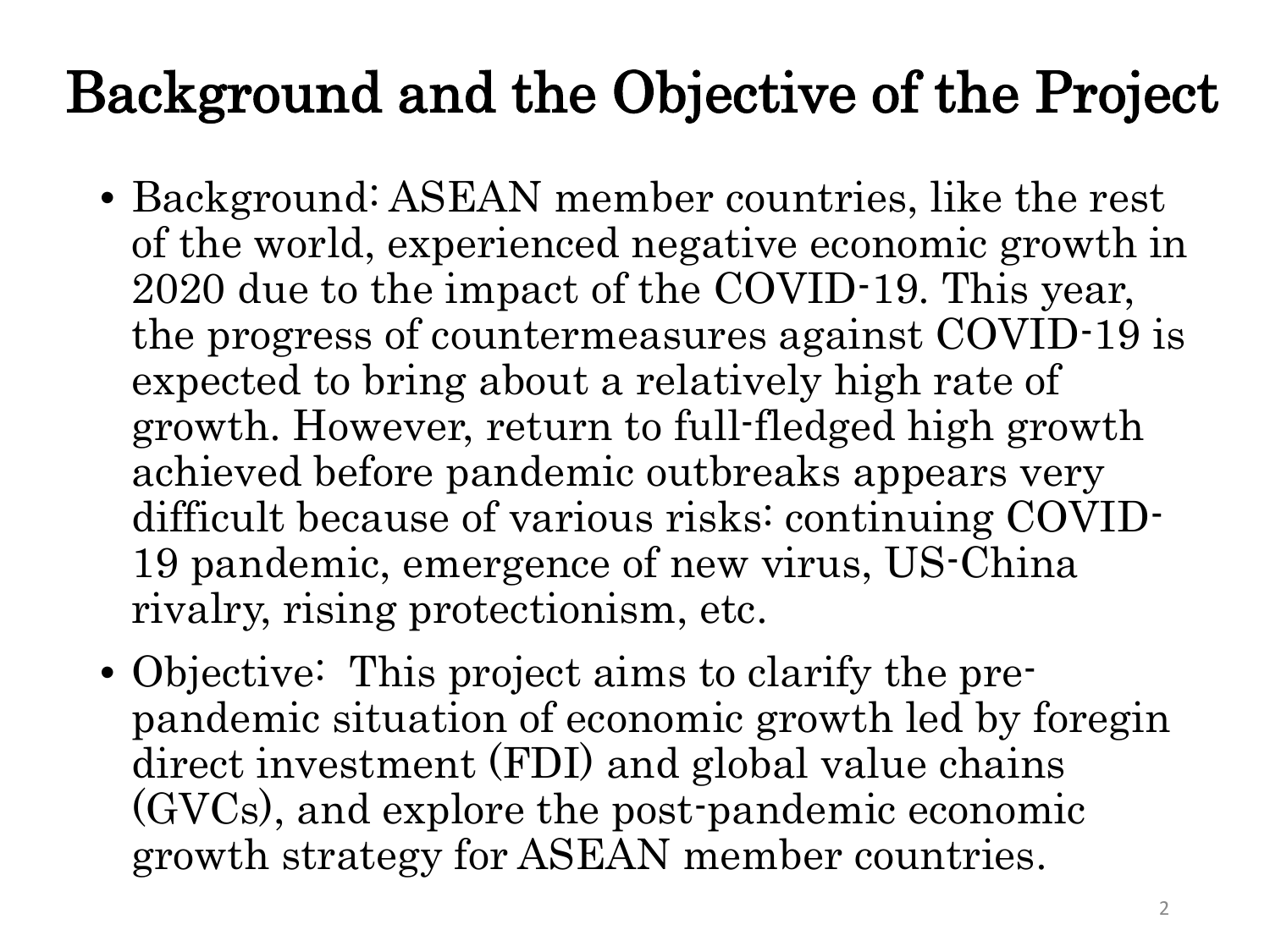# Background and the Objective of the Project

- Background: ASEAN member countries, like the rest of the world, experienced negative economic growth in 2020 due to the impact of the COVID-19. This year, the progress of countermeasures against COVID-19 is expected to bring about a relatively high rate of growth. However, return to full-fledged high growth achieved before pandemic outbreaks appears very difficult because of various risks: continuing COVID-19 pandemic, emergence of new virus, US-China rivalry, rising protectionism, etc.
- Objective: This project aims to clarify the prepandemic situation of economic growth led by foregin direct investment (FDI) and global value chains (GVCs), and explore the post-pandemic economic growth strategy for ASEAN member countries.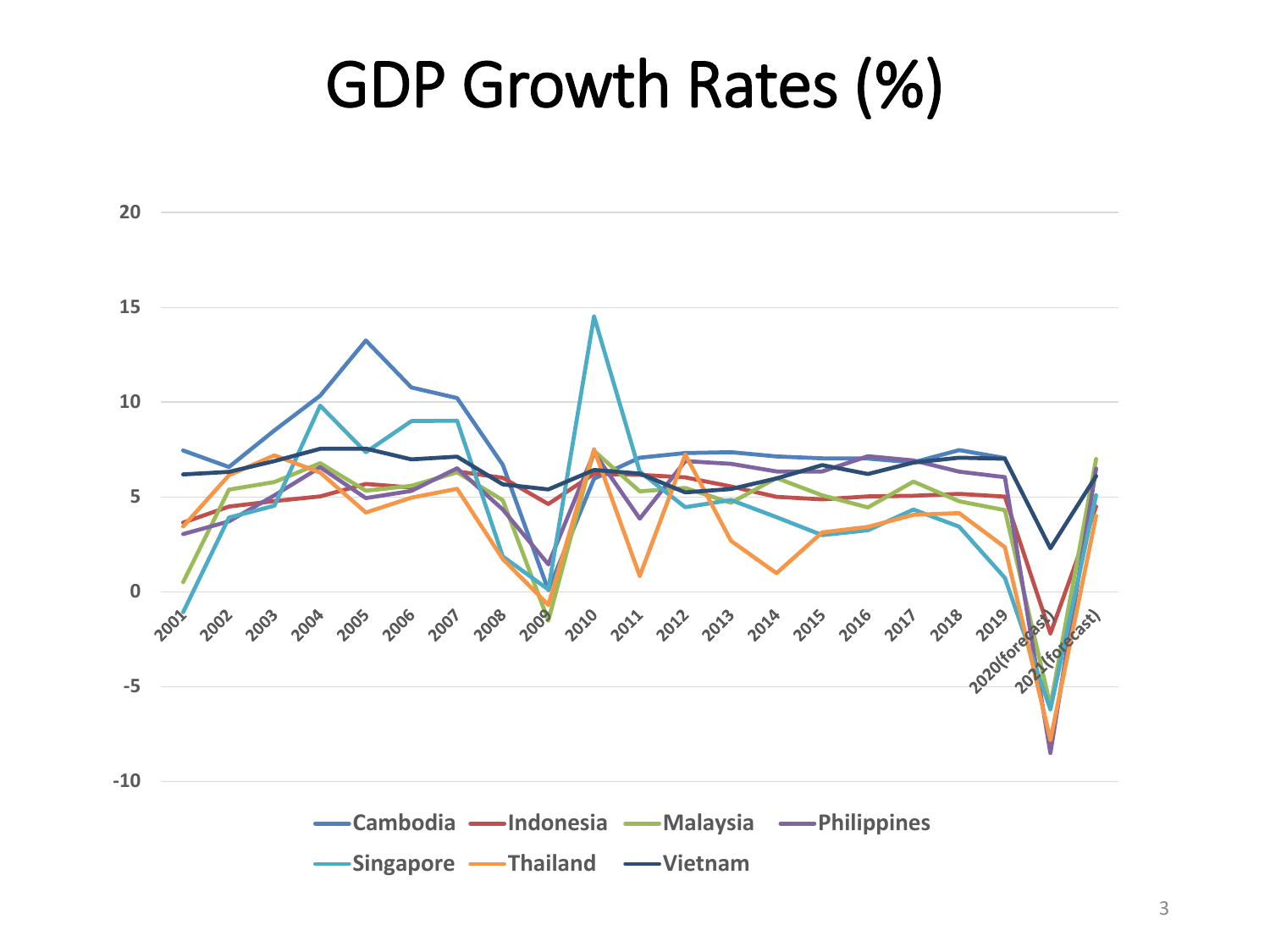# GDP Growth Rates (%)

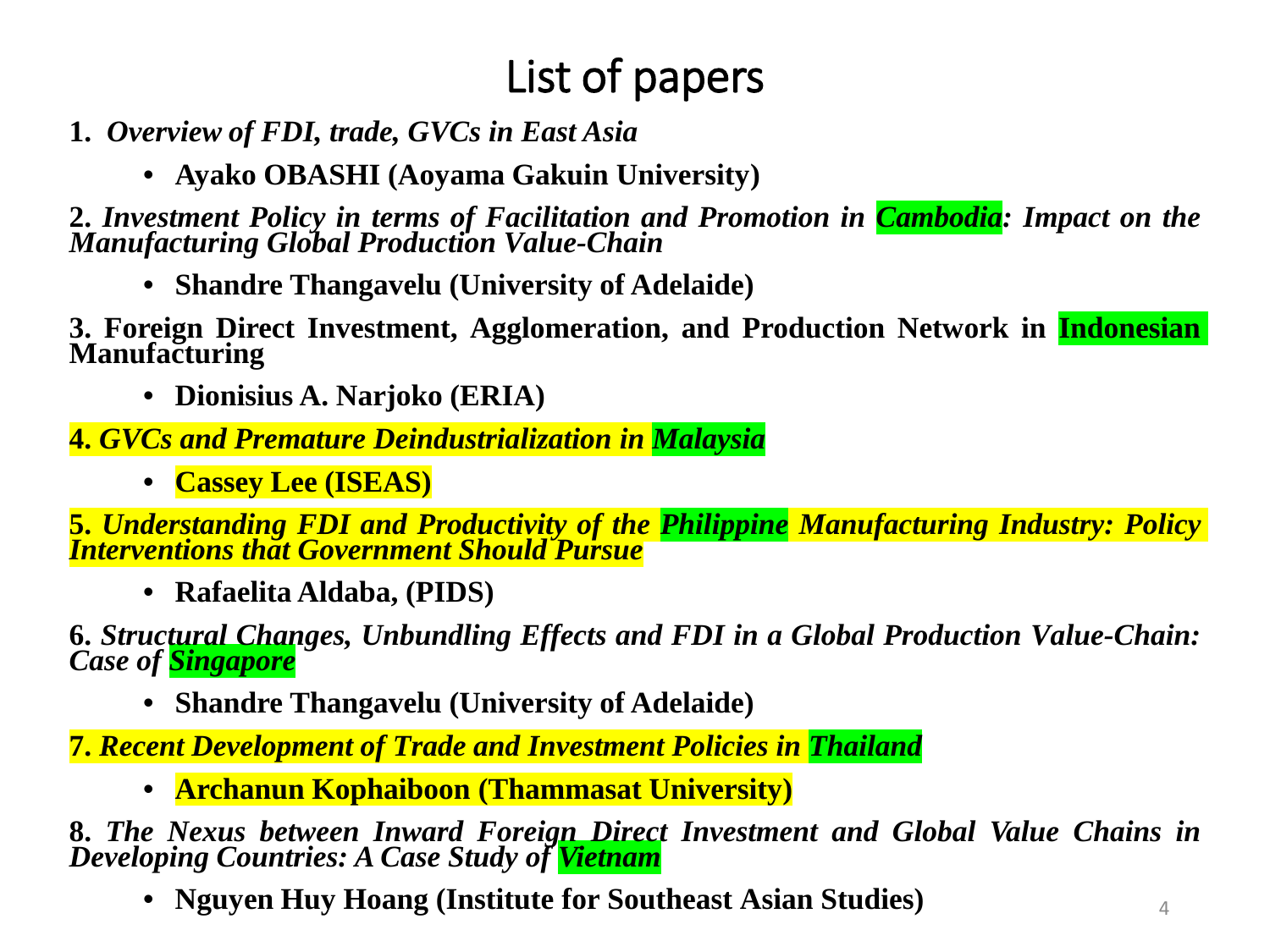#### List of papers

- **1.** *Overview of FDI, trade, GVCs in East Asia*
	- **Ayako OBASHI (Aoyama Gakuin University)**

**2.** *Investment Policy in terms of Facilitation and Promotion in Cambodia: Impact on the Manufacturing Global Production Value-Chain*

• **Shandre Thangavelu (University of Adelaide)**

**3. Foreign Direct Investment, Agglomeration, and Production Network in Indonesian Manufacturing**

• **Dionisius A. Narjoko (ERIA)**

**4.** *GVCs and Premature Deindustrialization in Malaysia*

• **Cassey Lee (ISEAS)**

5. Understanding FDI and Productivity of the Philippine Manufacturing Industry: Policy<br>Interventions that Government Should Pursue

• **Rafaelita Aldaba, (PIDS)**

**6.** *Structural Changes, Unbundling Effects and FDI in a Global Production Value-Chain: Case of Singapore*

• **Shandre Thangavelu (University of Adelaide)**

**7.** *Recent Development of Trade and Investment Policies in Thailand*

• **Archanun Kophaiboon (Thammasat University)**

**8.** *The Nexus between Inward Foreign Direct Investment and Global Value Chains in Developing Countries: A Case Study of Vietnam*

• **Nguyen Huy Hoang (Institute for Southeast Asian Studies)** <sup>4</sup>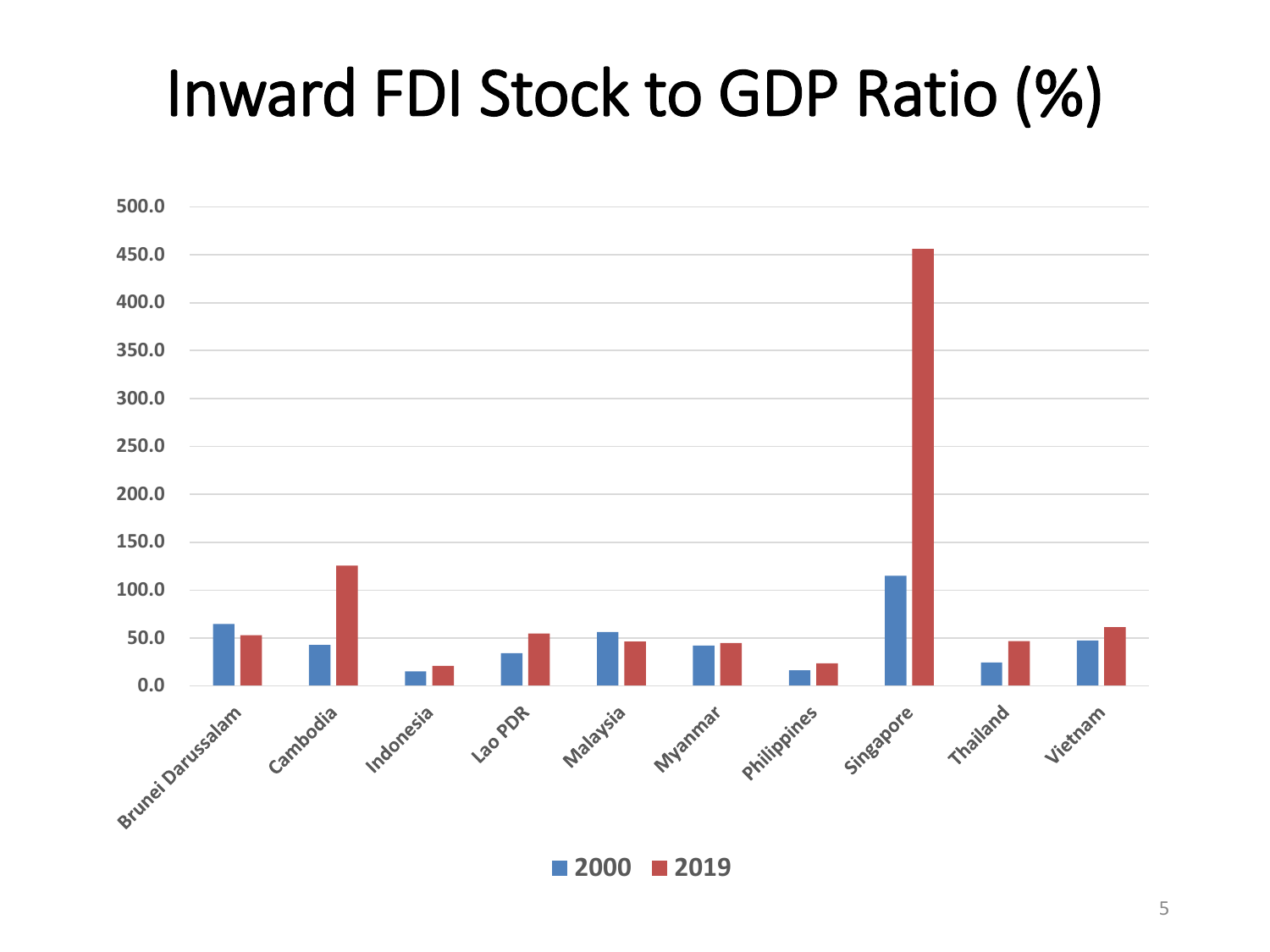# Inward FDI Stock to GDP Ratio (%)



**2000 2019**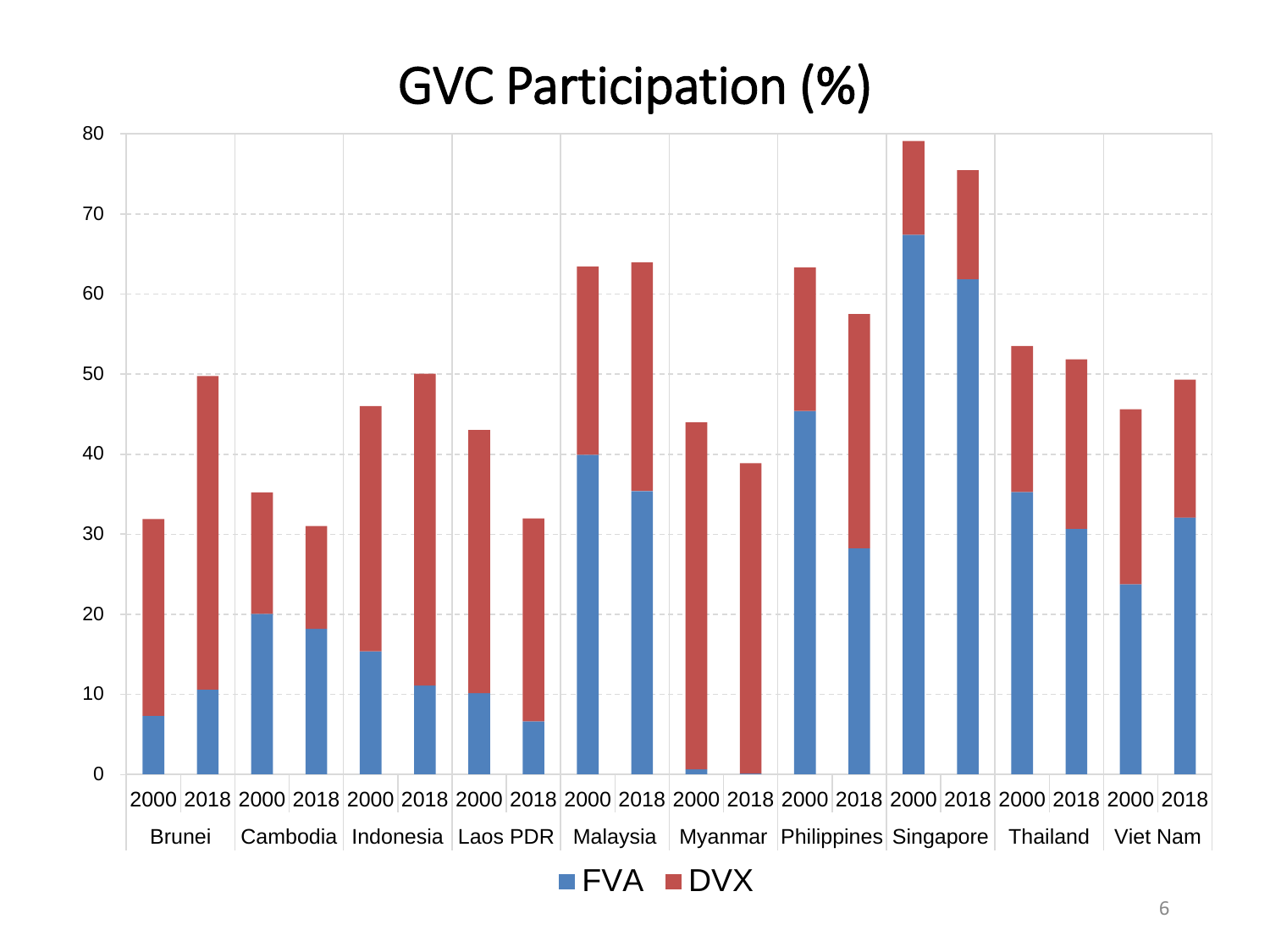## GVC Participation (%)

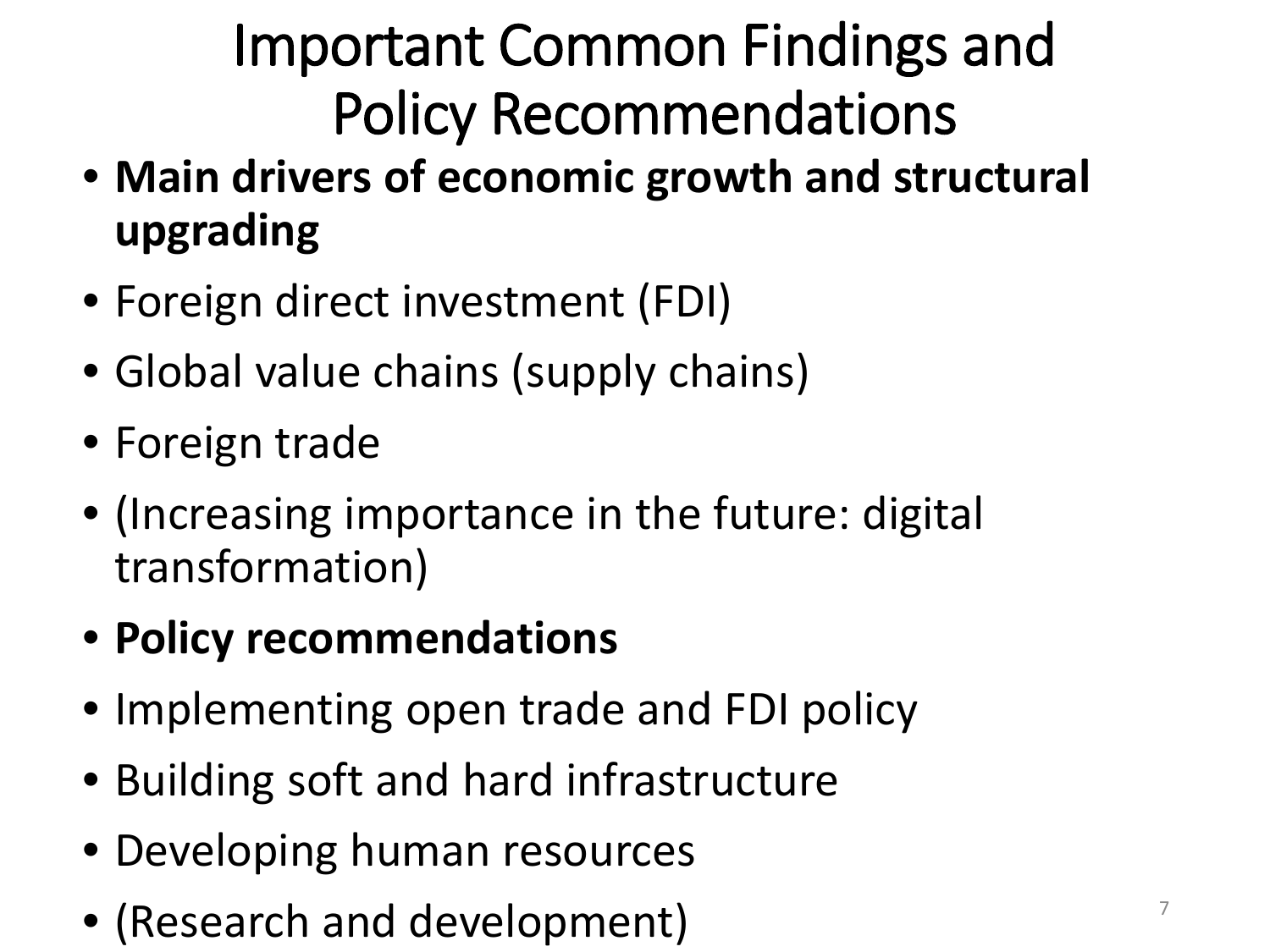# Important Common Findings and Policy Recommendations

- **Main drivers of economic growth and structural upgrading**
- Foreign direct investment (FDI)
- Global value chains (supply chains)
- Foreign trade
- (Increasing importance in the future: digital transformation)
- **Policy recommendations**
- Implementing open trade and FDI policy
- Building soft and hard infrastructure
- Developing human resources
- (Research and development)  $\sqrt{7}$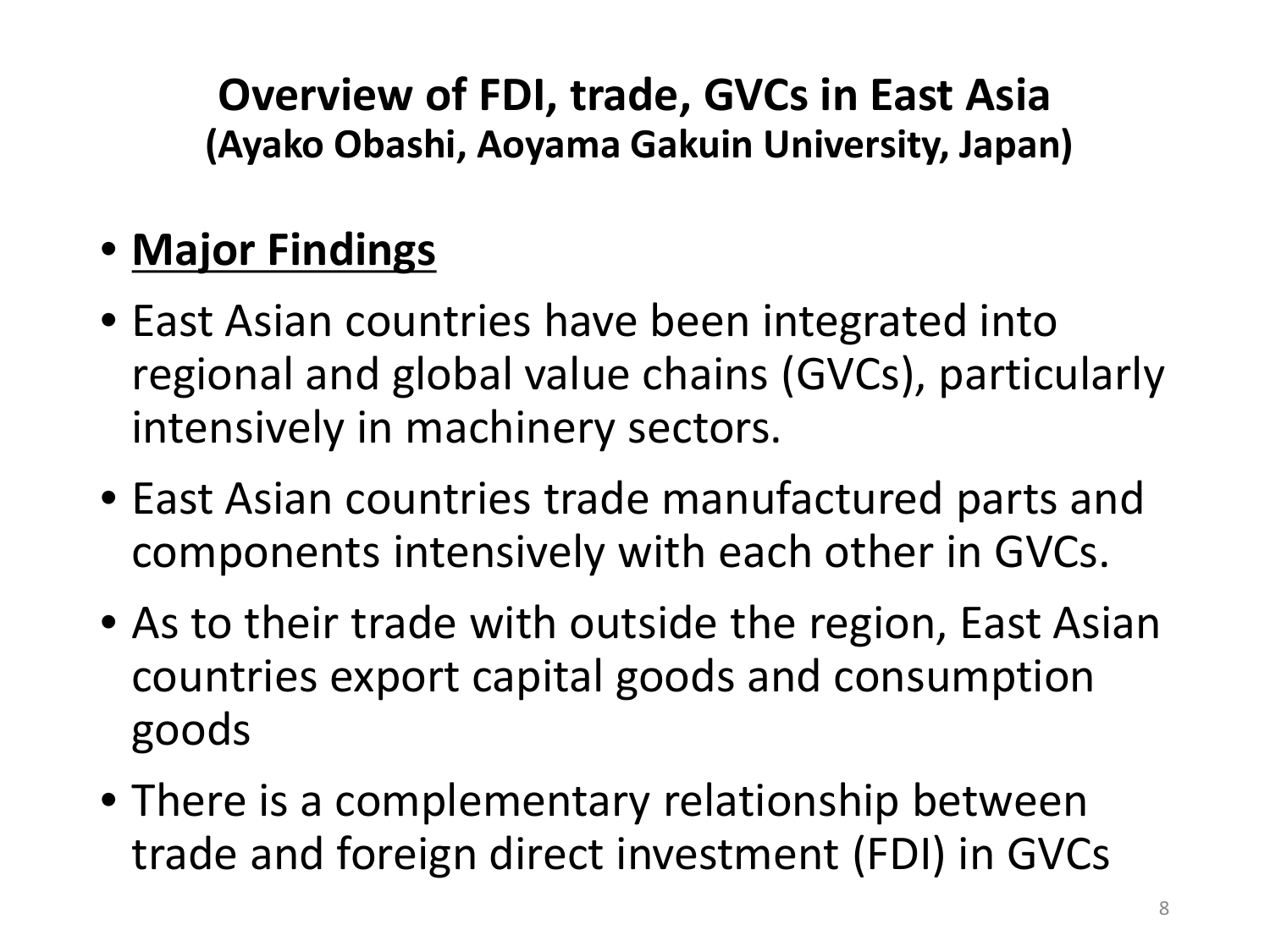**Overview of FDI, trade, GVCs in East Asia (Ayako Obashi, Aoyama Gakuin University, Japan)**

#### • **Major Findings**

- East Asian countries have been integrated into regional and global value chains (GVCs), particularly intensively in machinery sectors.
- East Asian countries trade manufactured parts and components intensively with each other in GVCs.
- As to their trade with outside the region, East Asian countries export capital goods and consumption goods
- There is a complementary relationship between trade and foreign direct investment (FDI) in GVCs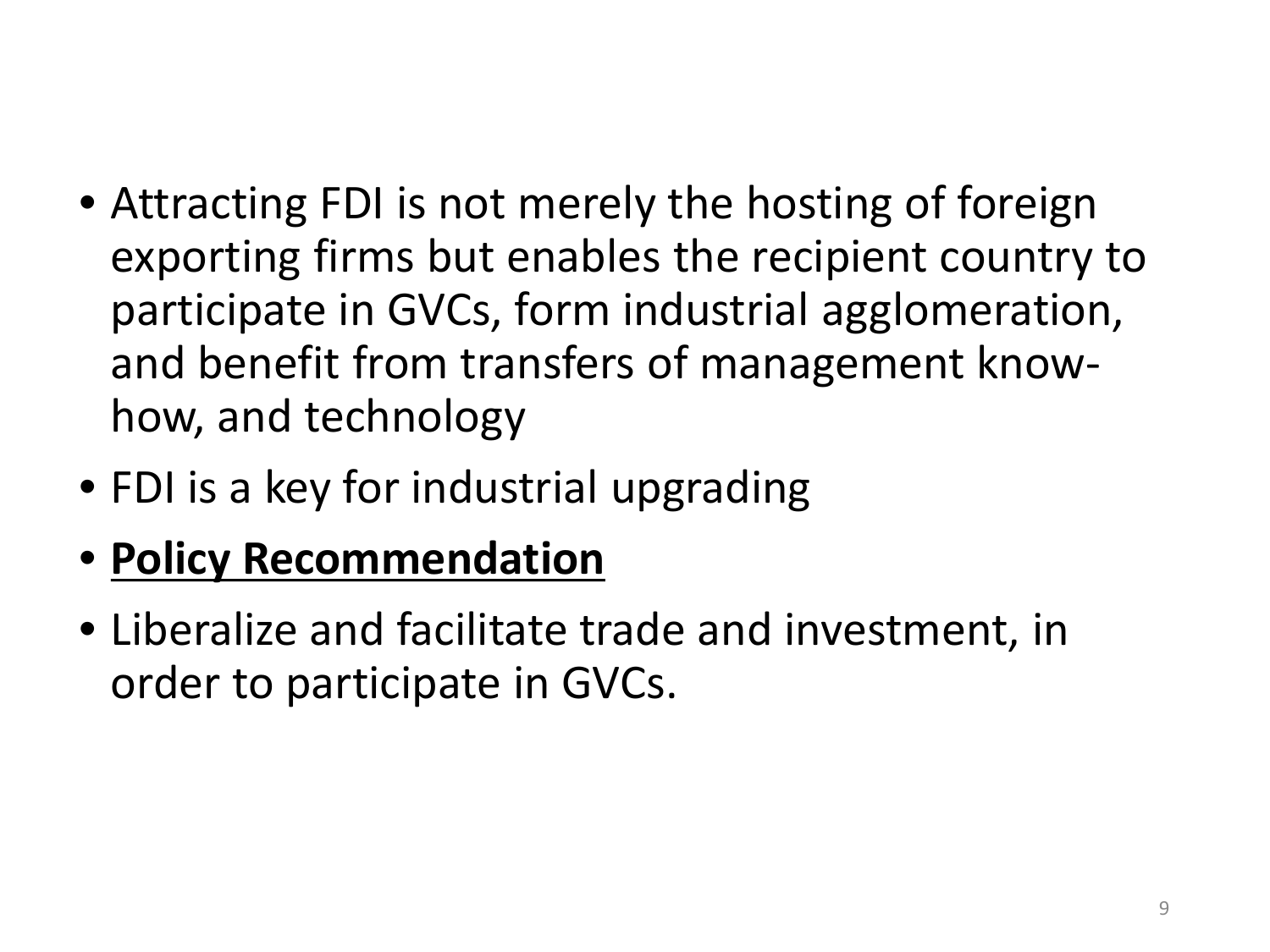- Attracting FDI is not merely the hosting of foreign exporting firms but enables the recipient country to participate in GVCs, form industrial agglomeration, and benefit from transfers of management knowhow, and technology
- FDI is a key for industrial upgrading
- **Policy Recommendation**
- Liberalize and facilitate trade and investment, in order to participate in GVCs.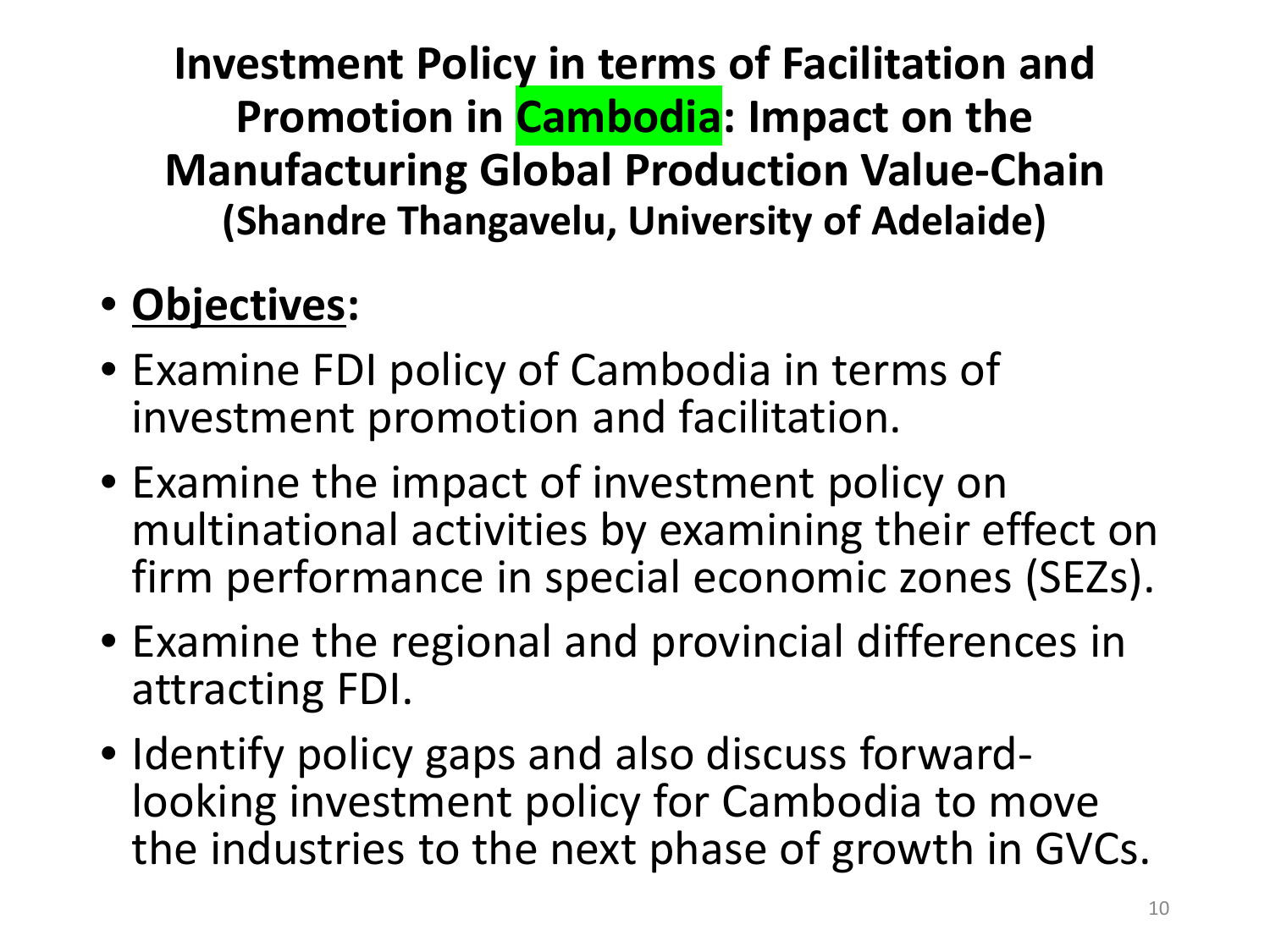**Investment Policy in terms of Facilitation and Promotion in Cambodia: Impact on the Manufacturing Global Production Value-Chain (Shandre Thangavelu, University of Adelaide)**

### • **Objectives:**

- Examine FDI policy of Cambodia in terms of investment promotion and facilitation.
- Examine the impact of investment policy on multinational activities by examining their effect on firm performance in special economic zones (SEZs).
- Examine the regional and provincial differences in attracting FDI.
- Identify policy gaps and also discuss forward- looking investment policy for Cambodia to move the industries to the next phase of growth in GVCs.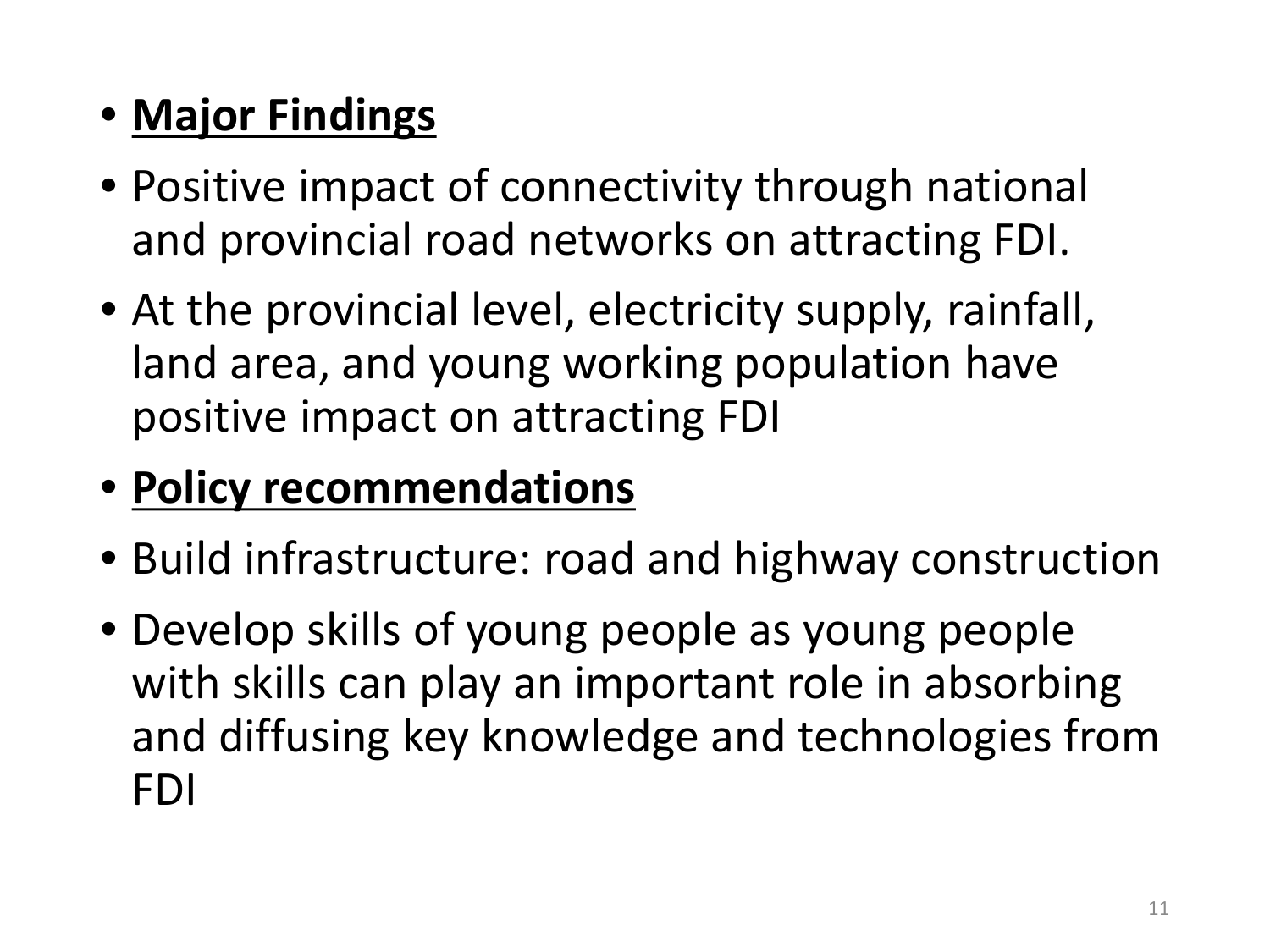#### • **Major Findings**

- Positive impact of connectivity through national and provincial road networks on attracting FDI.
- At the provincial level, electricity supply, rainfall, land area, and young working population have positive impact on attracting FDI

#### • **Policy recommendations**

- Build infrastructure: road and highway construction
- Develop skills of young people as young people with skills can play an important role in absorbing and diffusing key knowledge and technologies from FDI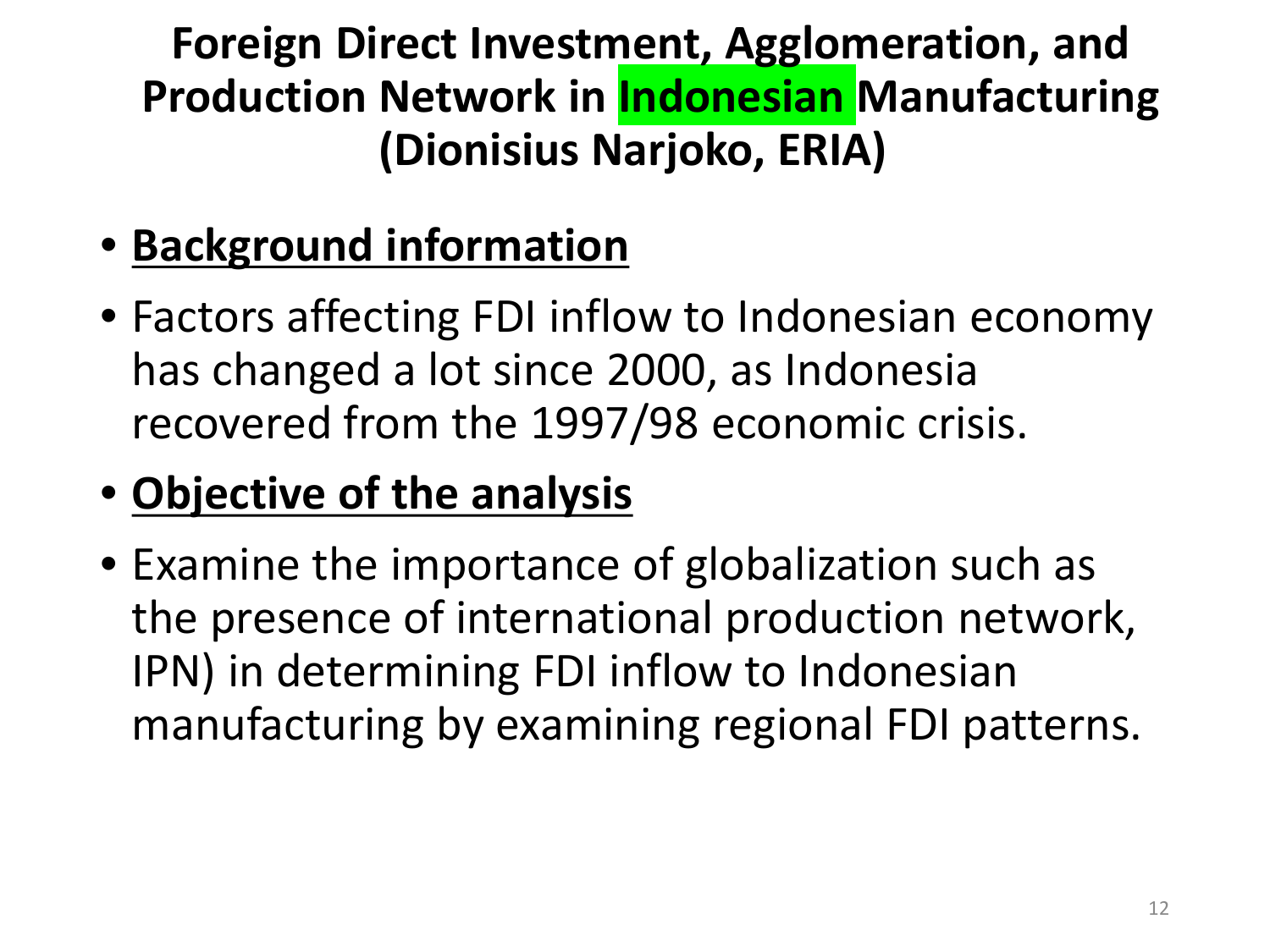**Foreign Direct Investment, Agglomeration, and Production Network in Indonesian Manufacturing (Dionisius Narjoko, ERIA)** 

- **Background information**
- Factors affecting FDI inflow to Indonesian economy has changed a lot since 2000, as Indonesia recovered from the 1997/98 economic crisis.

### • **Objective of the analysis**

• Examine the importance of globalization such as the presence of international production network, IPN) in determining FDI inflow to Indonesian manufacturing by examining regional FDI patterns.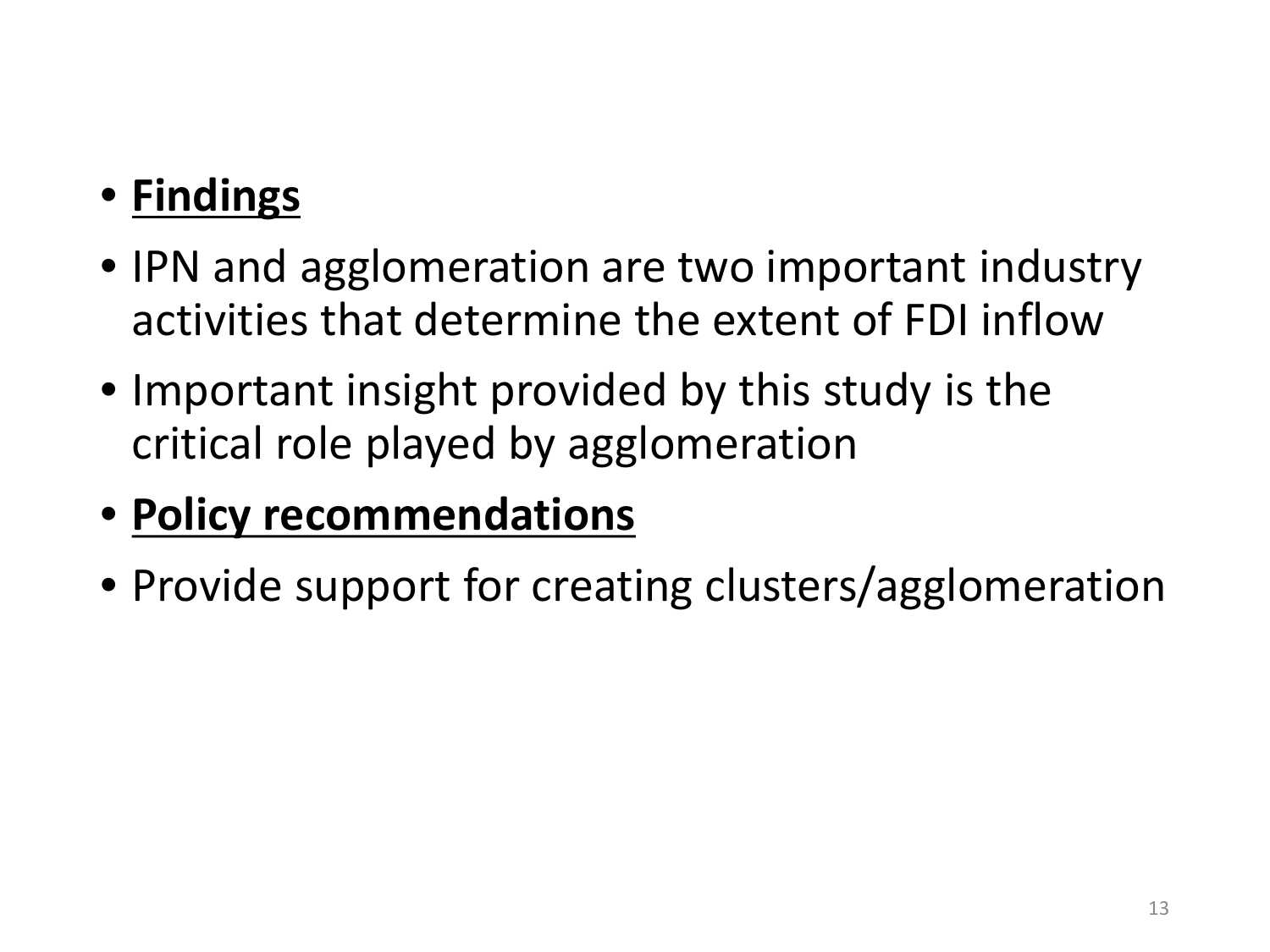## • **Findings**

- IPN and agglomeration are two important industry activities that determine the extent of FDI inflow
- Important insight provided by this study is the critical role played by agglomeration
- **Policy recommendations**
- Provide support for creating clusters/agglomeration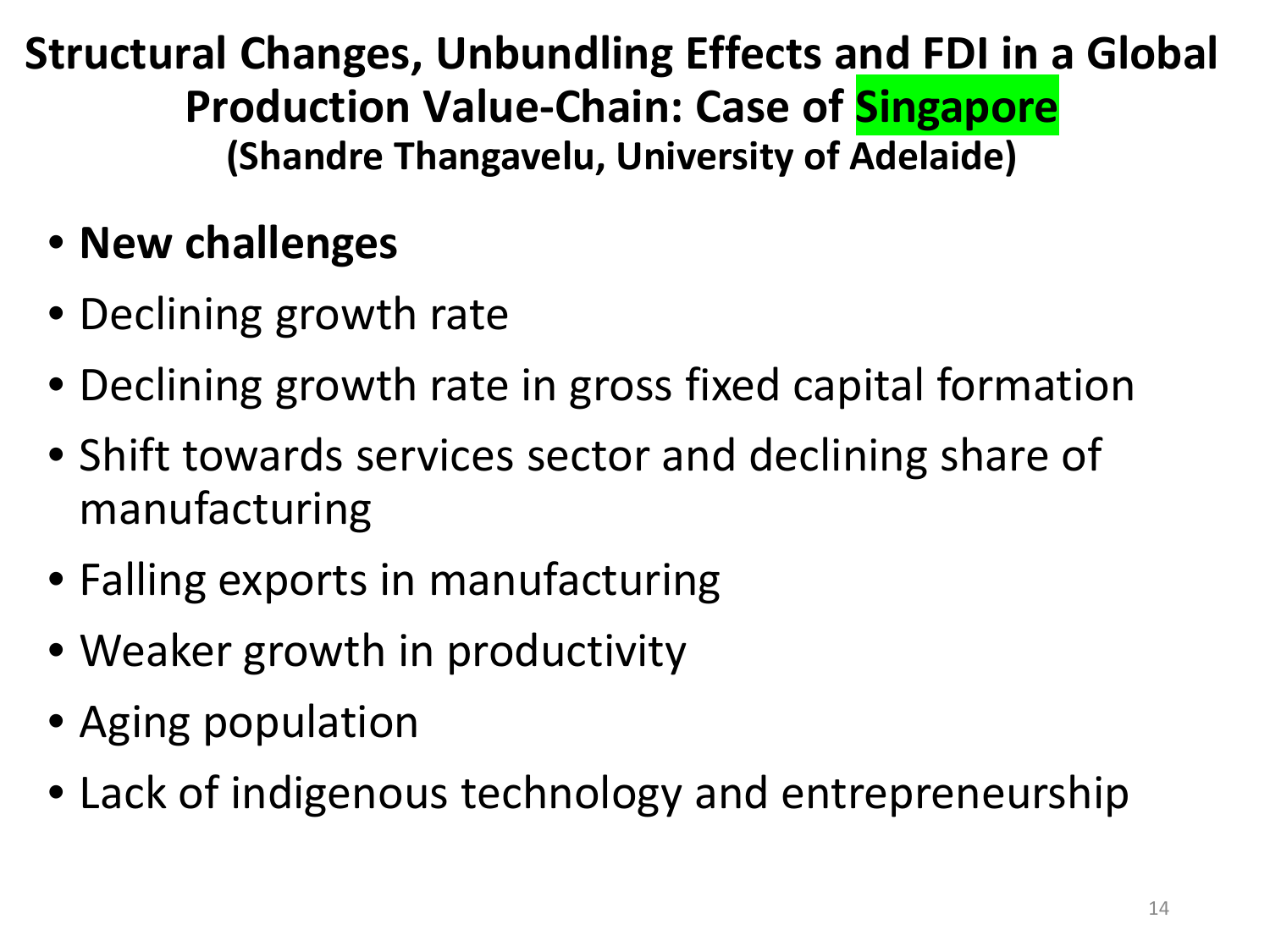**Structural Changes, Unbundling Effects and FDI in a Global Production Value-Chain: Case of Singapore (Shandre Thangavelu, University of Adelaide)**

- **New challenges**
- Declining growth rate
- Declining growth rate in gross fixed capital formation
- Shift towards services sector and declining share of manufacturing
- Falling exports in manufacturing
- Weaker growth in productivity
- Aging population
- Lack of indigenous technology and entrepreneurship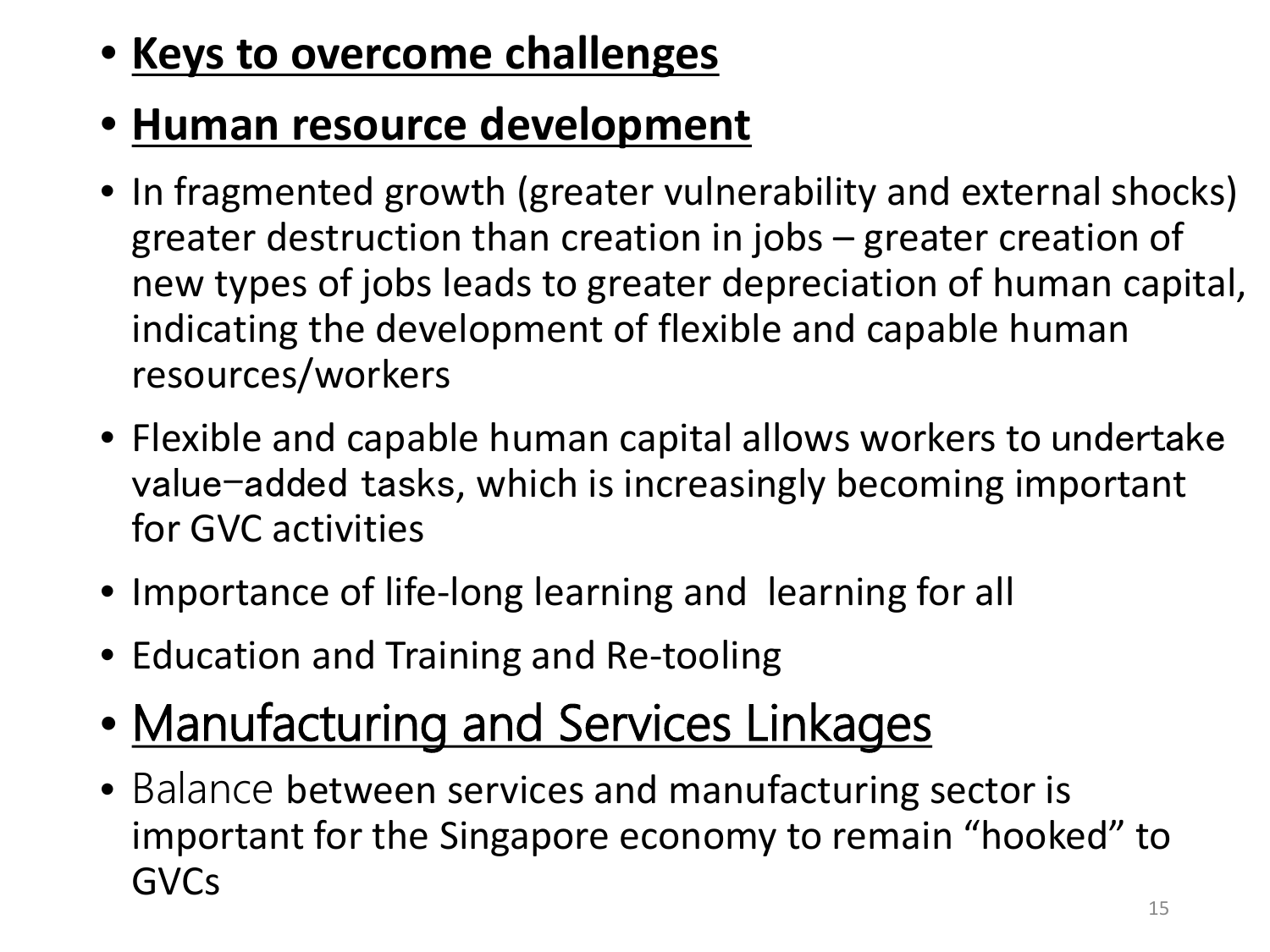### • **Keys to overcome challenges**

#### • **Human resource development**

- In fragmented growth (greater vulnerability and external shocks) greater destruction than creation in jobs – greater creation of new types of jobs leads to greater depreciation of human capital, indicating the development of flexible and capable human resources/workers
- Flexible and capable human capital allows workers to undertake value-added tasks, which is increasingly becoming important for GVC activities
- Importance of life-long learning and learning for all
- Education and Training and Re-tooling
- Manufacturing and Services Linkages
- Balance between services and manufacturing sector is important for the Singapore economy to remain "hooked" to GVCs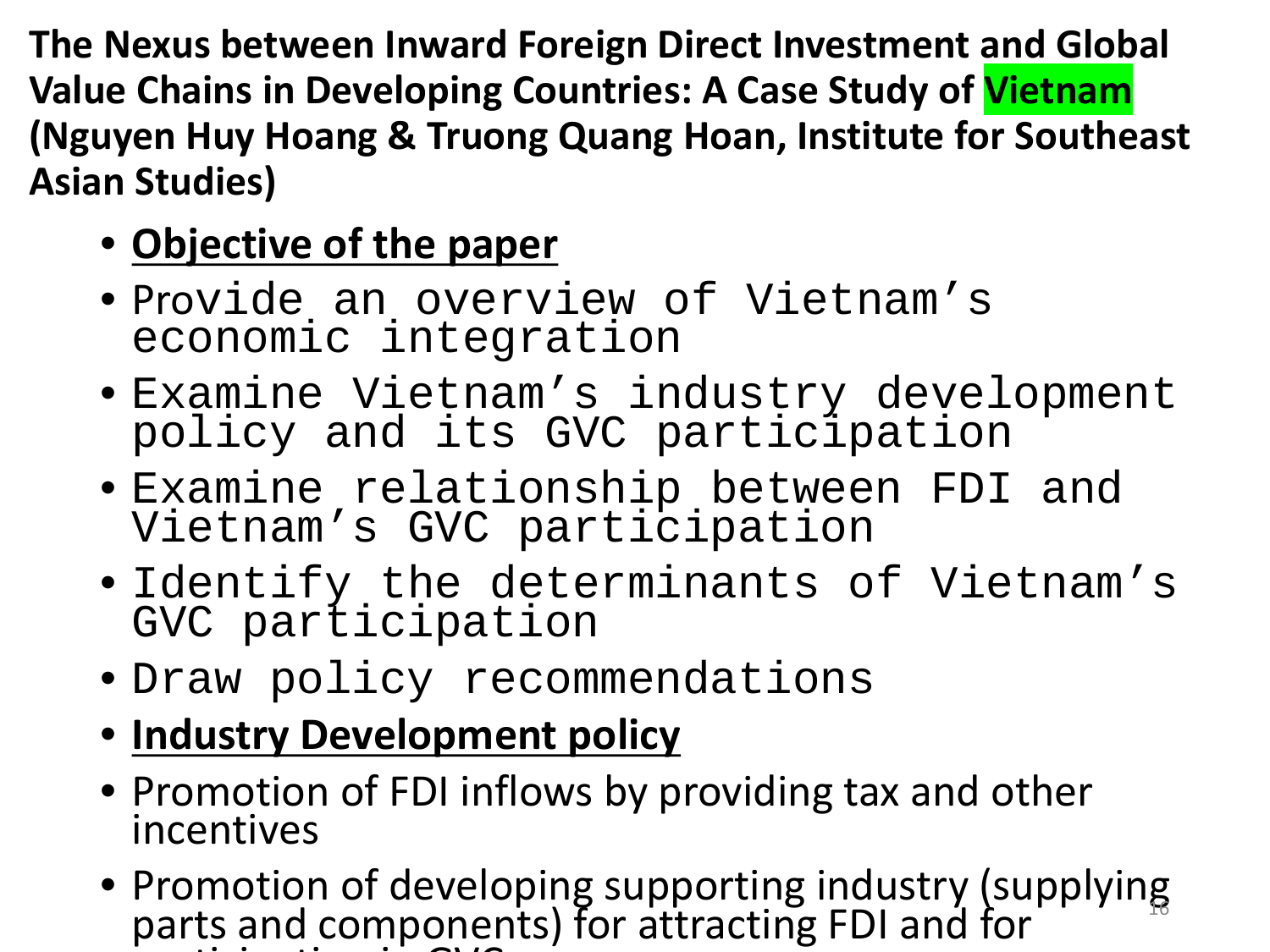**The Nexus between Inward Foreign Direct Investment and Global Value Chains in Developing Countries: A Case Study of Vietnam (Nguyen Huy Hoang & Truong Quang Hoan, Institute for Southeast Asian Studies)**

#### • **Objective of the paper**

- Provide an overview of Vietnam's economic integration
- Examine Vietnam's industry development policy and its GVC participation
- Examine relationship between FDI and Vietnam's GVC participation
- Identify the determinants of Vietnam's GVC participation
- Draw policy recommendations
- **Industry Development policy**
- Promotion of FDI inflows by providing tax and other incentives
- Promotion of developing supporting industry (supplying parts and components) for attracting FDI and for  $\cdots$  in  $\cdots$  in  $\cdots$